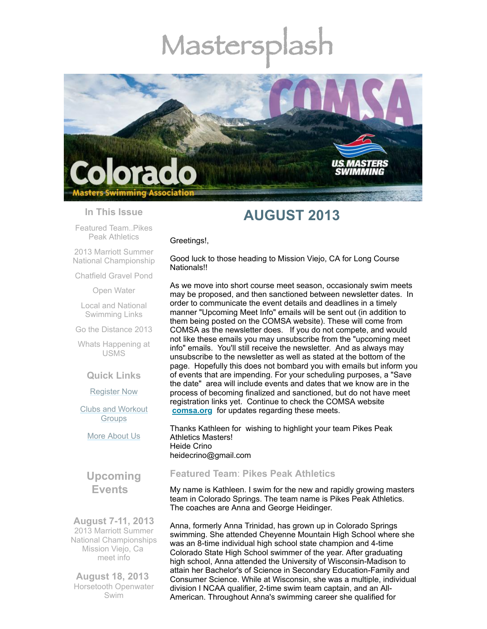# Mastersp



#### **In This Issue**

Featured [Team..Pikes](#page-0-0) Peak Athletics

2013 Marriott Summer National [Championship](#page-1-0)

[Chatfield](#page-1-1) Gravel Pond

Open [Water](#page-2-0)

Local and National [Swimming](#page-2-1) Links

Go the [Distance](#page-2-2) 2013

Whats [Happening](#page-3-0) at USMS

**Quick Links**

[Register](http://comsa.org/joining/index.html) Now

Clubs and [Workout](http://comsa.org/clubs/index.html) **Groups** 

More [About](http://comsa.org/) Us

# **Upcoming Events**

**August 7-11, 2013** 2013 Marriott Summer National Championships Mission Viejo, Ca [meet](http://www.usms.org/comp/lcnats13/) info

**August 18, 2013** Horsetooth Openwater Swim

# **AUGUST 2013**

Greetings!,

Good luck to those heading to Mission Viejo, CA for Long Course Nationals!!

As we move into short course meet season, occasionaly swim meets may be proposed, and then sanctioned between newsletter dates. In order to communicate the event details and deadlines in a timely manner "Upcoming Meet Info" emails will be sent out (in addition to them being posted on the COMSA website). These will come from COMSA as the newsletter does. If you do not compete, and would not like these emails you may unsubscribe from the "upcoming meet info" emails. You'll still receive the newsletter. And as always may unsubscribe to the newsletter as well as stated at the bottom of the page. Hopefully this does not bombard you with emails but inform you of events that are impending. For your scheduling purposes, a "Save the date" area will include events and dates that we know are in the process of becoming finalized and sanctioned, but do not have meet registration links yet. Continue to check the COMSA website **[comsa.org](http://comsa.org/)** for updates regarding these meets.

Thanks Kathleen for wishing to highlight your team Pikes Peak Athletics Masters! Heide Crino heidecrino@gmail.com

## <span id="page-0-0"></span>**Featured Team**: **Pikes Peak Athletics**

My name is Kathleen. I swim for the new and rapidly growing masters team in Colorado Springs. The team name is Pikes Peak Athletics. The coaches are Anna and George Heidinger.

Anna, formerly Anna Trinidad, has grown up in Colorado Springs swimming. She attended Cheyenne Mountain High School where she was an 8-time individual high school state champion and 4-time Colorado State High School swimmer of the year. After graduating high school, Anna attended the University of Wisconsin-Madison to attain her Bachelor's of Science in Secondary Education-Family and Consumer Science. While at Wisconsin, she was a multiple, individual division I NCAA qualifier, 2-time swim team captain, and an All-American. Throughout Anna's swimming career she qualified for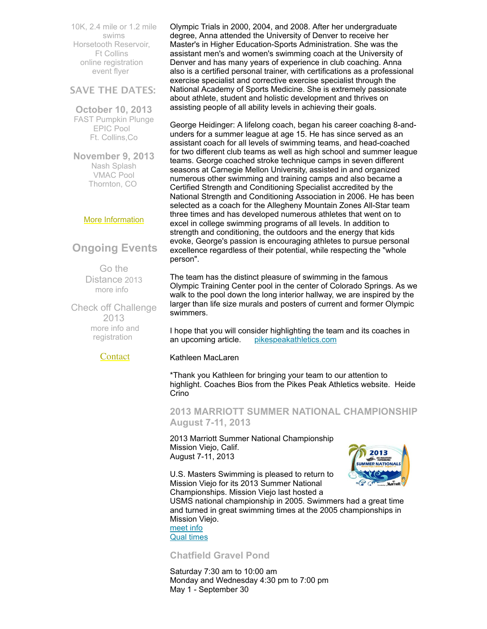10K, 2.4 mile or 1.2 mile swims Horsetooth Reservoir, Ft Collins online [registration](http://www.horsetoothswim.com/) [event](http://www.comsa.org/events/2013%20openwater/HorsetoothOpenWaterSwim2013.pdf) flyer

### **SAVE THE DATES:**

**October 10, 2013** FAST Pumpkin Plunge EPIC Pool Ft. Collins,Co

**November 9, 2013** Nash Splash VMAC Pool Thornton, CO

#### More [Information](http://www.comsa.org/)

# **Ongoing Events**

Go the Distance 2013 [more](http://www.usms.org/fitness/content/gothedistance) info

Check off Challenge 2013 more info and [registration](http://www.usms.org/fitness/content/checkoff)

**[Contact](mailto:heidecrino@gmail.com?)** 

Olympic Trials in 2000, 2004, and 2008. After her undergraduate degree, Anna attended the University of Denver to receive her Master's in Higher Education-Sports Administration. She was the assistant men's and women's swimming coach at the University of Denver and has many years of experience in club coaching. Anna also is a certified personal trainer, with certifications as a professional exercise specialist and corrective exercise specialist through the National Academy of Sports Medicine. She is extremely passionate about athlete, student and holistic development and thrives on assisting people of all ability levels in achieving their goals.

George Heidinger: A lifelong coach, began his career coaching 8-andunders for a summer league at age 15. He has since served as an assistant coach for all levels of swimming teams, and head-coached for two different club teams as well as high school and summer league teams. George coached stroke technique camps in seven different seasons at Carnegie Mellon University, assisted in and organized numerous other swimming and training camps and also became a Certified Strength and Conditioning Specialist accredited by the National Strength and Conditioning Association in 2006. He has been selected as a coach for the Allegheny Mountain Zones All-Star team three times and has developed numerous athletes that went on to excel in college swimming programs of all levels. In addition to strength and conditioning, the outdoors and the energy that kids evoke, George's passion is encouraging athletes to pursue personal excellence regardless of their potential, while respecting the "whole person".

The team has the distinct pleasure of swimming in the famous Olympic Training Center pool in the center of Colorado Springs. As we walk to the pool down the long interior hallway, we are inspired by the larger than life size murals and posters of current and former Olympic swimmers.

I hope that you will consider highlighting the team and its coaches in an upcoming article. [pikespeakathletics.com](http://pikespeakathletics.com/)

Kathleen MacLaren

\*Thank you Kathleen for bringing your team to our attention to highlight. Coaches Bios from the Pikes Peak Athletics website. Heide Crino

<span id="page-1-0"></span>**2013 MARRIOTT SUMMER NATIONAL CHAMPIONSHIP August 7-11, 2013**

2013 Marriott Summer National Championship Mission Viejo, Calif. August 7-11, 2013

U.S. Masters Swimming is pleased to return to Mission Viejo for its 2013 Summer National Championships. Mission Viejo last hosted a



USMS national championship in 2005. Swimmers had a great time and turned in great swimming times at the 2005 championships in Mission Viejo.

[meet](http://www.usms.org/comp/lcnats13/) info Qual [times](http://www.usms.org/comp/lcnats13/nqt.pdf)

<span id="page-1-1"></span>**Chatfield Gravel Pond** 

Saturday 7:30 am to 10:00 am Monday and Wednesday 4:30 pm to 7:00 pm May 1 - September 30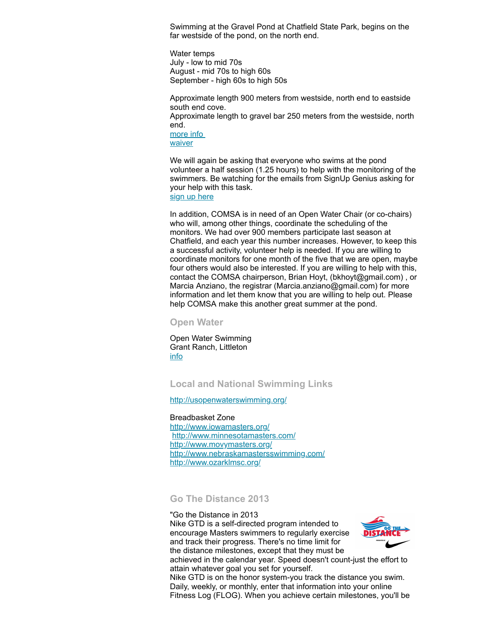Swimming at the Gravel Pond at Chatfield State Park, begins on the far westside of the pond, on the north end.

Water temps July - low to mid 70s August - mid 70s to high 60s September - high 60s to high 50s

Approximate length 900 meters from westside, north end to eastside south end cove.

Approximate length to gravel bar 250 meters from the westside, north end.

[more](http://www.comsa.org/openwater.html) info [waiver](http://www.comsa.org/events/2013%20openwater/2013%20Chatfield%20Waiver%20Paper.pdf)

We will again be asking that everyone who swims at the pond volunteer a half session (1.25 hours) to help with the monitoring of the swimmers. Be watching for the emails from SignUp Genius asking for your help with this task.

sign up [here](http://www.signupgenius.com/go/20F044AACAE2BA20-monitors9)

In addition, COMSA is in need of an Open Water Chair (or co-chairs) who will, among other things, coordinate the scheduling of the monitors. We had over 900 members participate last season at Chatfield, and each year this number increases. However, to keep this a successful activity, volunteer help is needed. If you are willing to coordinate monitors for one month of the five that we are open, maybe four others would also be interested. If you are willing to help with this, contact the COMSA chairperson, Brian Hoyt, (bkhoyt@gmail.com) , or Marcia Anziano, the registrar (Marcia.anziano@gmail.com) for more information and let them know that you are willing to help out. Please help COMSA make this another great summer at the pond.

<span id="page-2-0"></span>**Open Water** 

Open Water Swimming Grant Ranch, Littleton [info](http://www.milehighmultisport.com/open-water-swimming/about/)

#### <span id="page-2-1"></span>**Local and National Swimming Links**

<http://usopenwaterswimming.org/>

Breadbasket Zone <http://www.iowamasters.org/> <http://www.minnesotamasters.com/> <http://www.movymasters.org/> <http://www.nebraskamastersswimming.com/> <http://www.ozarklmsc.org/>

<span id="page-2-2"></span>**Go The Distance 2013**

"Go the Distance in 2013 Nike GTD is a self-directed program intended to encourage Masters swimmers to regularly exercise and track their progress. There's no time limit for the distance milestones, except that they must be



achieved in the calendar year. Speed doesn't count-just the effort to attain whatever goal you set for yourself.

Nike GTD is on the honor system-you track the distance you swim. Daily, weekly, or monthly, enter that information into your online Fitness Log (FLOG). When you achieve certain milestones, you'll be